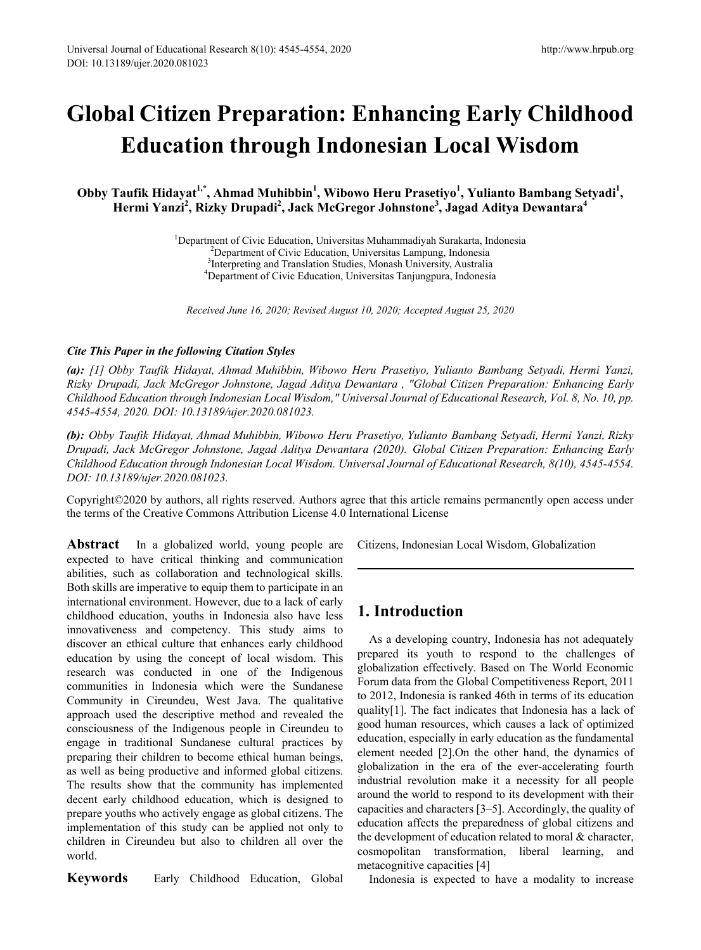# **Global Citizen Preparation: Enhancing Early Childhood Education through Indonesian Local Wisdom**

Obby Taufik Hidayat<sup>1,\*</sup>, Ahmad Muhibbin<sup>1</sup>, Wibowo Heru Prasetiyo<sup>1</sup>, Yulianto Bambang Setyadi<sup>1</sup>, **Hermi Yanzi<sup>2</sup> , Rizky Drupadi<sup>2</sup> , Jack McGregor Johnstone3 , Jagad Aditya Dewantara<sup>4</sup>**

> <sup>1</sup>Department of Civic Education, Universitas Muhammadiyah Surakarta, Indonesia<br><sup>2</sup>Department of Civic Education, Universitas Lampung, Indonesia <sup>2</sup>Department of Civic Education, Universitas Lampung, Indonesia <sup>3</sup>Interpreting and Translation Studies, Monash University, Australia<sup>4</sup><br><sup>4</sup>Department of Civic Education, University, Tanjungpura, Indonesi Department of Civic Education, Universitas Tanjungpura, Indonesia

*Received June 16, 2020; Revised August 10, 2020; Accepted August 25, 2020*

#### *Cite This Paper in the following Citation Styles*

*(a): [1] Obby Taufik Hidayat, Ahmad Muhibbin, Wibowo Heru Prasetiyo, Yulianto Bambang Setyadi, Hermi Yanzi, Rizky Drupadi, Jack McGregor Johnstone, Jagad Aditya Dewantara , "Global Citizen Preparation: Enhancing Early Childhood Education through Indonesian Local Wisdom," Universal Journal of Educational Research, Vol. 8, No. 10, pp. 4545-4554, 2020. DOI: 10.13189/ujer.2020.081023.* 

*(b): Obby Taufik Hidayat, Ahmad Muhibbin, Wibowo Heru Prasetiyo, Yulianto Bambang Setyadi, Hermi Yanzi, Rizky Drupadi, Jack McGregor Johnstone, Jagad Aditya Dewantara (2020). Global Citizen Preparation: Enhancing Early Childhood Education through Indonesian Local Wisdom. Universal Journal of Educational Research, 8(10), 4545-4554. DOI: 10.13189/ujer.2020.081023.* 

Copyright©2020 by authors, all rights reserved. Authors agree that this article remains permanently open access under the terms of the Creative Commons Attribution License 4.0 International License

**Abstract** In a globalized world, young people are expected to have critical thinking and communication abilities, such as collaboration and technological skills. Both skills are imperative to equip them to participate in an international environment. However, due to a lack of early childhood education, youths in Indonesia also have less innovativeness and competency. This study aims to discover an ethical culture that enhances early childhood education by using the concept of local wisdom. This research was conducted in one of the Indigenous communities in Indonesia which were the Sundanese Community in Cireundeu, West Java. The qualitative approach used the descriptive method and revealed the consciousness of the Indigenous people in Cireundeu to engage in traditional Sundanese cultural practices by preparing their children to become ethical human beings, as well as being productive and informed global citizens. The results show that the community has implemented decent early childhood education, which is designed to prepare youths who actively engage as global citizens. The implementation of this study can be applied not only to children in Cireundeu but also to children all over the world.

**Keywords** Early Childhood Education, Global

Citizens, Indonesian Local Wisdom, Globalization

## **1. Introduction**

As a developing country, Indonesia has not adequately prepared its youth to respond to the challenges of globalization effectively. Based on The World Economic Forum data from the Global Competitiveness Report, 2011 to 2012, Indonesia is ranked 46th in terms of its education quality[1]. The fact indicates that Indonesia has a lack of good human resources, which causes a lack of optimized education, especially in early education as the fundamental element needed [2].On the other hand, the dynamics of globalization in the era of the ever-accelerating fourth industrial revolution make it a necessity for all people around the world to respond to its development with their capacities and characters [3–5]. Accordingly, the quality of education affects the preparedness of global citizens and the development of education related to moral & character, cosmopolitan transformation, liberal learning, and metacognitive capacities [4]

Indonesia is expected to have a modality to increase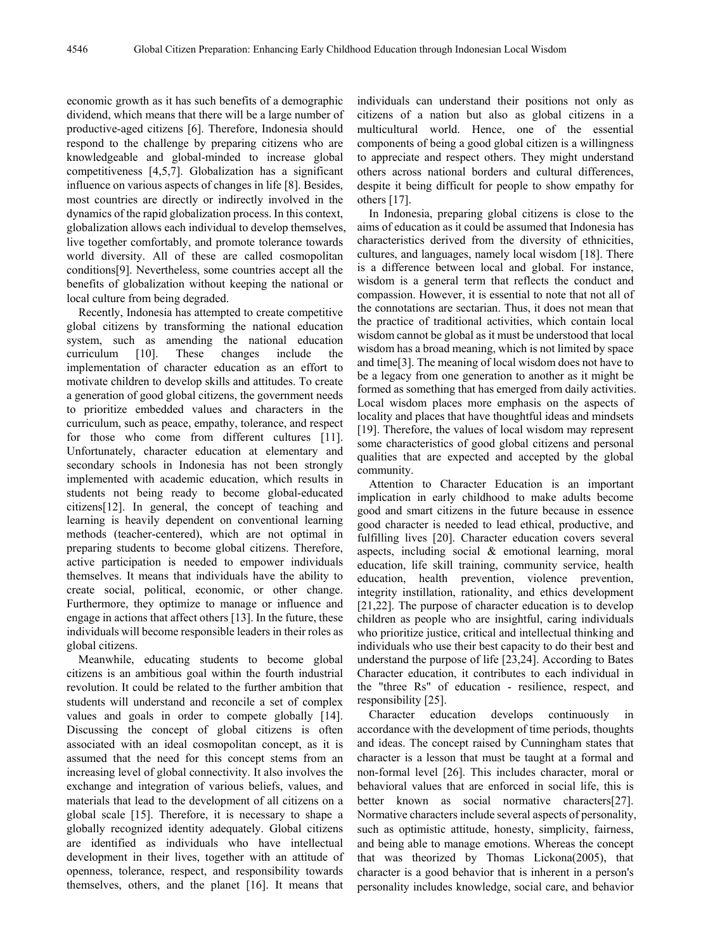economic growth as it has such benefits of a demographic dividend, which means that there will be a large number of productive-aged citizens [6]. Therefore, Indonesia should respond to the challenge by preparing citizens who are knowledgeable and global-minded to increase global competitiveness [4,5,7]. Globalization has a significant influence on various aspects of changes in life [8]. Besides, most countries are directly or indirectly involved in the dynamics of the rapid globalization process. In this context, globalization allows each individual to develop themselves, live together comfortably, and promote tolerance towards world diversity. All of these are called cosmopolitan conditions[9]. Nevertheless, some countries accept all the benefits of globalization without keeping the national or local culture from being degraded.

Recently, Indonesia has attempted to create competitive global citizens by transforming the national education system, such as amending the national education curriculum [10]. These changes include the implementation of character education as an effort to motivate children to develop skills and attitudes. To create a generation of good global citizens, the government needs to prioritize embedded values and characters in the curriculum, such as peace, empathy, tolerance, and respect for those who come from different cultures [11]. Unfortunately, character education at elementary and secondary schools in Indonesia has not been strongly implemented with academic education, which results in students not being ready to become global-educated citizens[12]. In general, the concept of teaching and learning is heavily dependent on conventional learning methods (teacher-centered), which are not optimal in preparing students to become global citizens. Therefore, active participation is needed to empower individuals themselves. It means that individuals have the ability to create social, political, economic, or other change. Furthermore, they optimize to manage or influence and engage in actions that affect others [13]. In the future, these individuals will become responsible leaders in their roles as global citizens.

Meanwhile, educating students to become global citizens is an ambitious goal within the fourth industrial revolution. It could be related to the further ambition that students will understand and reconcile a set of complex values and goals in order to compete globally [14]. Discussing the concept of global citizens is often associated with an ideal cosmopolitan concept, as it is assumed that the need for this concept stems from an increasing level of global connectivity. It also involves the exchange and integration of various beliefs, values, and materials that lead to the development of all citizens on a global scale [15]. Therefore, it is necessary to shape a globally recognized identity adequately. Global citizens are identified as individuals who have intellectual development in their lives, together with an attitude of openness, tolerance, respect, and responsibility towards themselves, others, and the planet [16]. It means that individuals can understand their positions not only as citizens of a nation but also as global citizens in a multicultural world. Hence, one of the essential components of being a good global citizen is a willingness to appreciate and respect others. They might understand others across national borders and cultural differences, despite it being difficult for people to show empathy for others [17].

In Indonesia, preparing global citizens is close to the aims of education as it could be assumed that Indonesia has characteristics derived from the diversity of ethnicities, cultures, and languages, namely local wisdom [18]. There is a difference between local and global. For instance, wisdom is a general term that reflects the conduct and compassion. However, it is essential to note that not all of the connotations are sectarian. Thus, it does not mean that the practice of traditional activities, which contain local wisdom cannot be global as it must be understood that local wisdom has a broad meaning, which is not limited by space and time[3]. The meaning of local wisdom does not have to be a legacy from one generation to another as it might be formed as something that has emerged from daily activities. Local wisdom places more emphasis on the aspects of locality and places that have thoughtful ideas and mindsets [19]. Therefore, the values of local wisdom may represent some characteristics of good global citizens and personal qualities that are expected and accepted by the global community.

Attention to Character Education is an important implication in early childhood to make adults become good and smart citizens in the future because in essence good character is needed to lead ethical, productive, and fulfilling lives [20]. Character education covers several aspects, including social & emotional learning, moral education, life skill training, community service, health education, health prevention, violence prevention, integrity instillation, rationality, and ethics development [21,22]. The purpose of character education is to develop children as people who are insightful, caring individuals who prioritize justice, critical and intellectual thinking and individuals who use their best capacity to do their best and understand the purpose of life [23,24]. According to Bates Character education, it contributes to each individual in the "three Rs" of education - resilience, respect, and responsibility [25].

Character education develops continuously in accordance with the development of time periods, thoughts and ideas. The concept raised by Cunningham states that character is a lesson that must be taught at a formal and non-formal level [26]. This includes character, moral or behavioral values that are enforced in social life, this is better known as social normative characters[27]. Normative characters include several aspects of personality, such as optimistic attitude, honesty, simplicity, fairness, and being able to manage emotions. Whereas the concept that was theorized by Thomas Lickona(2005), that character is a good behavior that is inherent in a person's personality includes knowledge, social care, and behavior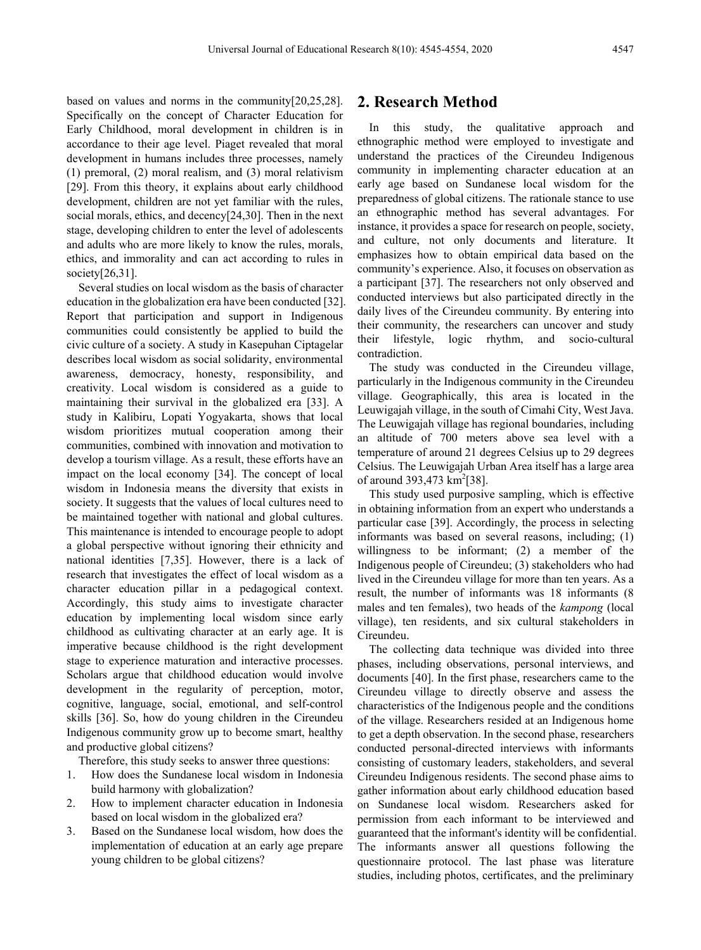based on values and norms in the community[20,25,28]. Specifically on the concept of Character Education for Early Childhood, moral development in children is in accordance to their age level. Piaget revealed that moral development in humans includes three processes, namely (1) premoral, (2) moral realism, and (3) moral relativism [29]. From this theory, it explains about early childhood development, children are not yet familiar with the rules, social morals, ethics, and decency[24,30]. Then in the next stage, developing children to enter the level of adolescents and adults who are more likely to know the rules, morals, ethics, and immorality and can act according to rules in society[26,31].

Several studies on local wisdom as the basis of character education in the globalization era have been conducted [32]. Report that participation and support in Indigenous communities could consistently be applied to build the civic culture of a society. A study in Kasepuhan Ciptagelar describes local wisdom as social solidarity, environmental awareness, democracy, honesty, responsibility, and creativity. Local wisdom is considered as a guide to maintaining their survival in the globalized era [33]. A study in Kalibiru, Lopati Yogyakarta, shows that local wisdom prioritizes mutual cooperation among their communities, combined with innovation and motivation to develop a tourism village. As a result, these efforts have an impact on the local economy [34]. The concept of local wisdom in Indonesia means the diversity that exists in society. It suggests that the values of local cultures need to be maintained together with national and global cultures. This maintenance is intended to encourage people to adopt a global perspective without ignoring their ethnicity and national identities [7,35]. However, there is a lack of research that investigates the effect of local wisdom as a character education pillar in a pedagogical context. Accordingly, this study aims to investigate character education by implementing local wisdom since early childhood as cultivating character at an early age. It is imperative because childhood is the right development stage to experience maturation and interactive processes. Scholars argue that childhood education would involve development in the regularity of perception, motor, cognitive, language, social, emotional, and self-control skills [36]. So, how do young children in the Cireundeu Indigenous community grow up to become smart, healthy and productive global citizens?

Therefore, this study seeks to answer three questions:

- 1. How does the Sundanese local wisdom in Indonesia build harmony with globalization?
- 2. How to implement character education in Indonesia based on local wisdom in the globalized era?
- 3. Based on the Sundanese local wisdom, how does the implementation of education at an early age prepare young children to be global citizens?

## **2. Research Method**

In this study, the qualitative approach and ethnographic method were employed to investigate and understand the practices of the Cireundeu Indigenous community in implementing character education at an early age based on Sundanese local wisdom for the preparedness of global citizens. The rationale stance to use an ethnographic method has several advantages. For instance, it provides a space for research on people, society, and culture, not only documents and literature. It emphasizes how to obtain empirical data based on the community's experience. Also, it focuses on observation as a participant [37]. The researchers not only observed and conducted interviews but also participated directly in the daily lives of the Cireundeu community. By entering into their community, the researchers can uncover and study their lifestyle, logic rhythm, and socio-cultural contradiction.

The study was conducted in the Cireundeu village, particularly in the Indigenous community in the Cireundeu village. Geographically, this area is located in the Leuwigajah village, in the south of Cimahi City, West Java. The Leuwigajah village has regional boundaries, including an altitude of 700 meters above sea level with a temperature of around 21 degrees Celsius up to 29 degrees Celsius. The Leuwigajah Urban Area itself has a large area of around  $393,473 \text{ km}^2[38]$ .

This study used purposive sampling, which is effective in obtaining information from an expert who understands a particular case [39]. Accordingly, the process in selecting informants was based on several reasons, including; (1) willingness to be informant; (2) a member of the Indigenous people of Cireundeu; (3) stakeholders who had lived in the Cireundeu village for more than ten years. As a result, the number of informants was 18 informants (8 males and ten females), two heads of the *kampong* (local village), ten residents, and six cultural stakeholders in Cireundeu.

The collecting data technique was divided into three phases, including observations, personal interviews, and documents [40]. In the first phase, researchers came to the Cireundeu village to directly observe and assess the characteristics of the Indigenous people and the conditions of the village. Researchers resided at an Indigenous home to get a depth observation. In the second phase, researchers conducted personal-directed interviews with informants consisting of customary leaders, stakeholders, and several Cireundeu Indigenous residents. The second phase aims to gather information about early childhood education based on Sundanese local wisdom. Researchers asked for permission from each informant to be interviewed and guaranteed that the informant's identity will be confidential. The informants answer all questions following the questionnaire protocol. The last phase was literature studies, including photos, certificates, and the preliminary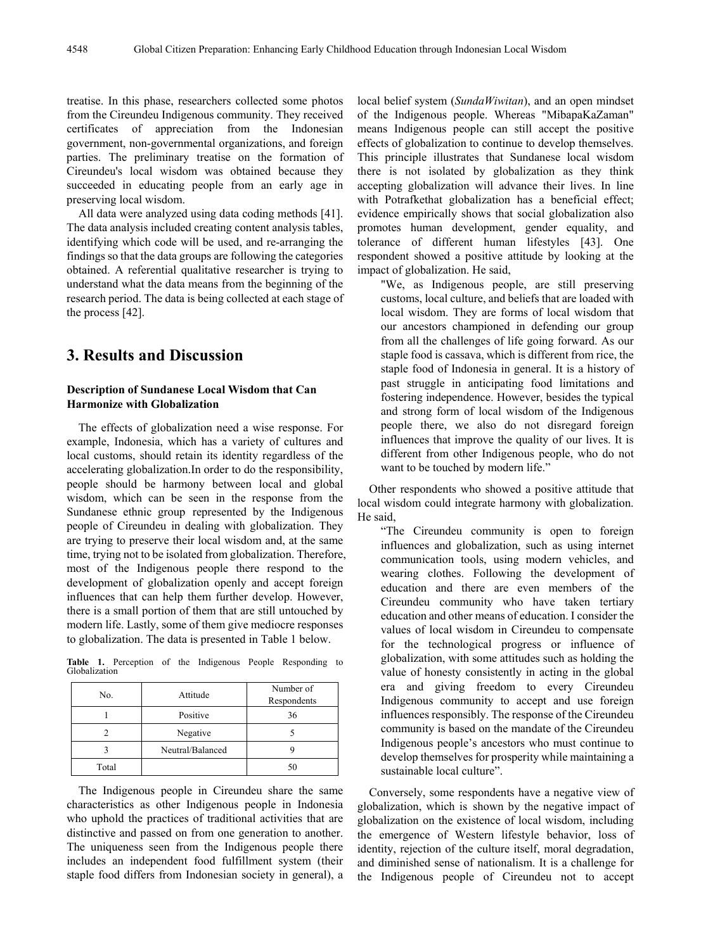treatise. In this phase, researchers collected some photos from the Cireundeu Indigenous community. They received certificates of appreciation from the Indonesian government, non-governmental organizations, and foreign parties. The preliminary treatise on the formation of Cireundeu's local wisdom was obtained because they succeeded in educating people from an early age in preserving local wisdom.

All data were analyzed using data coding methods [41]. The data analysis included creating content analysis tables, identifying which code will be used, and re-arranging the findings so that the data groups are following the categories obtained. A referential qualitative researcher is trying to understand what the data means from the beginning of the research period. The data is being collected at each stage of the process [42].

## **3. Results and Discussion**

#### **Description of Sundanese Local Wisdom that Can Harmonize with Globalization**

The effects of globalization need a wise response. For example, Indonesia, which has a variety of cultures and local customs, should retain its identity regardless of the accelerating globalization.In order to do the responsibility, people should be harmony between local and global wisdom, which can be seen in the response from the Sundanese ethnic group represented by the Indigenous people of Cireundeu in dealing with globalization. They are trying to preserve their local wisdom and, at the same time, trying not to be isolated from globalization. Therefore, most of the Indigenous people there respond to the development of globalization openly and accept foreign influences that can help them further develop. However, there is a small portion of them that are still untouched by modern life. Lastly, some of them give mediocre responses to globalization. The data is presented in Table 1 below.

**Table 1.** Perception of the Indigenous People Responding to Globalization

| No.   | Attitude         | Number of<br>Respondents |
|-------|------------------|--------------------------|
|       | Positive         | 36                       |
|       | Negative         |                          |
|       | Neutral/Balanced |                          |
| Total |                  | 50                       |

The Indigenous people in Cireundeu share the same characteristics as other Indigenous people in Indonesia who uphold the practices of traditional activities that are distinctive and passed on from one generation to another. The uniqueness seen from the Indigenous people there includes an independent food fulfillment system (their staple food differs from Indonesian society in general), a local belief system (*SundaWiwitan*), and an open mindset of the Indigenous people. Whereas "MibapaKaZaman" means Indigenous people can still accept the positive effects of globalization to continue to develop themselves. This principle illustrates that Sundanese local wisdom there is not isolated by globalization as they think accepting globalization will advance their lives. In line with Potrafkethat globalization has a beneficial effect; evidence empirically shows that social globalization also promotes human development, gender equality, and tolerance of different human lifestyles [43]. One respondent showed a positive attitude by looking at the impact of globalization. He said,

"We, as Indigenous people, are still preserving customs, local culture, and beliefs that are loaded with local wisdom. They are forms of local wisdom that our ancestors championed in defending our group from all the challenges of life going forward. As our staple food is cassava, which is different from rice, the staple food of Indonesia in general. It is a history of past struggle in anticipating food limitations and fostering independence. However, besides the typical and strong form of local wisdom of the Indigenous people there, we also do not disregard foreign influences that improve the quality of our lives. It is different from other Indigenous people, who do not want to be touched by modern life."

Other respondents who showed a positive attitude that local wisdom could integrate harmony with globalization. He said,

"The Cireundeu community is open to foreign influences and globalization, such as using internet communication tools, using modern vehicles, and wearing clothes. Following the development of education and there are even members of the Cireundeu community who have taken tertiary education and other means of education. I consider the values of local wisdom in Cireundeu to compensate for the technological progress or influence of globalization, with some attitudes such as holding the value of honesty consistently in acting in the global era and giving freedom to every Cireundeu Indigenous community to accept and use foreign influences responsibly. The response of the Cireundeu community is based on the mandate of the Cireundeu Indigenous people's ancestors who must continue to develop themselves for prosperity while maintaining a sustainable local culture".

Conversely, some respondents have a negative view of globalization, which is shown by the negative impact of globalization on the existence of local wisdom, including the emergence of Western lifestyle behavior, loss of identity, rejection of the culture itself, moral degradation, and diminished sense of nationalism. It is a challenge for the Indigenous people of Cireundeu not to accept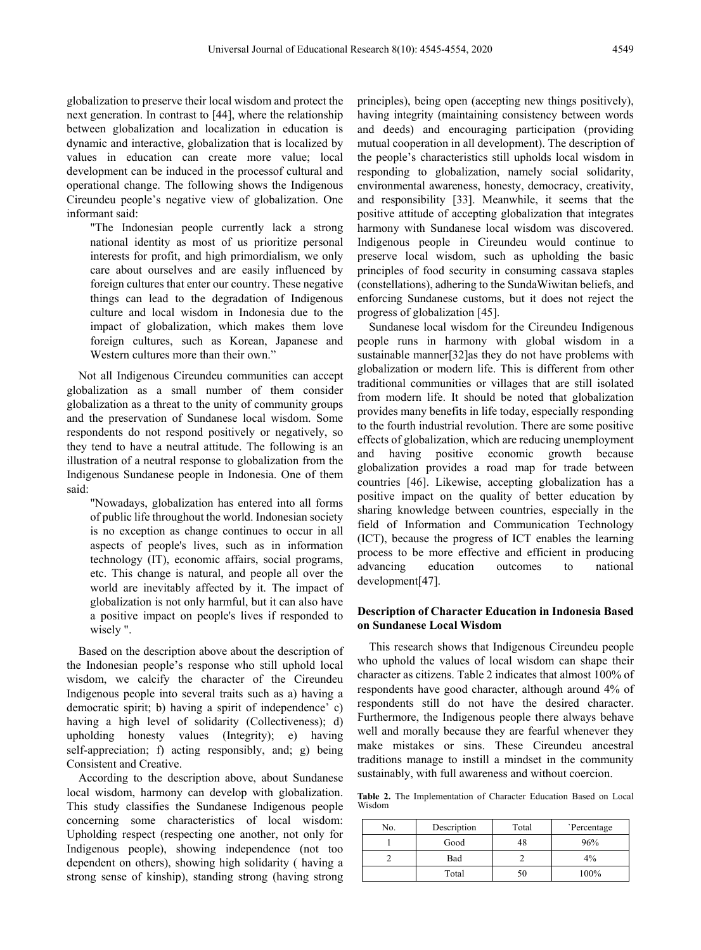globalization to preserve their local wisdom and protect the next generation. In contrast to [44], where the relationship between globalization and localization in education is dynamic and interactive, globalization that is localized by values in education can create more value; local development can be induced in the processof cultural and operational change. The following shows the Indigenous Cireundeu people's negative view of globalization. One informant said:

"The Indonesian people currently lack a strong national identity as most of us prioritize personal interests for profit, and high primordialism, we only care about ourselves and are easily influenced by foreign cultures that enter our country. These negative things can lead to the degradation of Indigenous culture and local wisdom in Indonesia due to the impact of globalization, which makes them love foreign cultures, such as Korean, Japanese and Western cultures more than their own."

Not all Indigenous Cireundeu communities can accept globalization as a small number of them consider globalization as a threat to the unity of community groups and the preservation of Sundanese local wisdom. Some respondents do not respond positively or negatively, so they tend to have a neutral attitude. The following is an illustration of a neutral response to globalization from the Indigenous Sundanese people in Indonesia. One of them said:

"Nowadays, globalization has entered into all forms of public life throughout the world. Indonesian society is no exception as change continues to occur in all aspects of people's lives, such as in information technology (IT), economic affairs, social programs, etc. This change is natural, and people all over the world are inevitably affected by it. The impact of globalization is not only harmful, but it can also have a positive impact on people's lives if responded to wisely ".

Based on the description above about the description of the Indonesian people's response who still uphold local wisdom, we calcify the character of the Cireundeu Indigenous people into several traits such as a) having a democratic spirit; b) having a spirit of independence' c) having a high level of solidarity (Collectiveness); d) upholding honesty values (Integrity); e) having self-appreciation; f) acting responsibly, and; g) being Consistent and Creative.

According to the description above, about Sundanese local wisdom, harmony can develop with globalization. This study classifies the Sundanese Indigenous people concerning some characteristics of local wisdom: Upholding respect (respecting one another, not only for Indigenous people), showing independence (not too dependent on others), showing high solidarity ( having a strong sense of kinship), standing strong (having strong principles), being open (accepting new things positively), having integrity (maintaining consistency between words and deeds) and encouraging participation (providing mutual cooperation in all development). The description of the people's characteristics still upholds local wisdom in responding to globalization, namely social solidarity, environmental awareness, honesty, democracy, creativity, and responsibility [33]. Meanwhile, it seems that the positive attitude of accepting globalization that integrates harmony with Sundanese local wisdom was discovered. Indigenous people in Cireundeu would continue to preserve local wisdom, such as upholding the basic principles of food security in consuming cassava staples (constellations), adhering to the SundaWiwitan beliefs, and enforcing Sundanese customs, but it does not reject the progress of globalization [45].

Sundanese local wisdom for the Cireundeu Indigenous people runs in harmony with global wisdom in a sustainable manner[32]as they do not have problems with globalization or modern life. This is different from other traditional communities or villages that are still isolated from modern life. It should be noted that globalization provides many benefits in life today, especially responding to the fourth industrial revolution. There are some positive effects of globalization, which are reducing unemployment and having positive economic growth because globalization provides a road map for trade between countries [46]. Likewise, accepting globalization has a positive impact on the quality of better education by sharing knowledge between countries, especially in the field of Information and Communication Technology (ICT), because the progress of ICT enables the learning process to be more effective and efficient in producing advancing education outcomes to national development[47].

#### **Description of Character Education in Indonesia Based on Sundanese Local Wisdom**

This research shows that Indigenous Cireundeu people who uphold the values of local wisdom can shape their character as citizens. Table 2 indicates that almost 100% of respondents have good character, although around 4% of respondents still do not have the desired character. Furthermore, the Indigenous people there always behave well and morally because they are fearful whenever they make mistakes or sins. These Cireundeu ancestral traditions manage to instill a mindset in the community sustainably, with full awareness and without coercion.

**Table 2.** The Implementation of Character Education Based on Local Wisdom

| No. | Description | Total | Percentage |
|-----|-------------|-------|------------|
|     | Good        | 48    | 96%        |
|     | Bad         |       | 4%         |
|     | Total       | 50    | 100%       |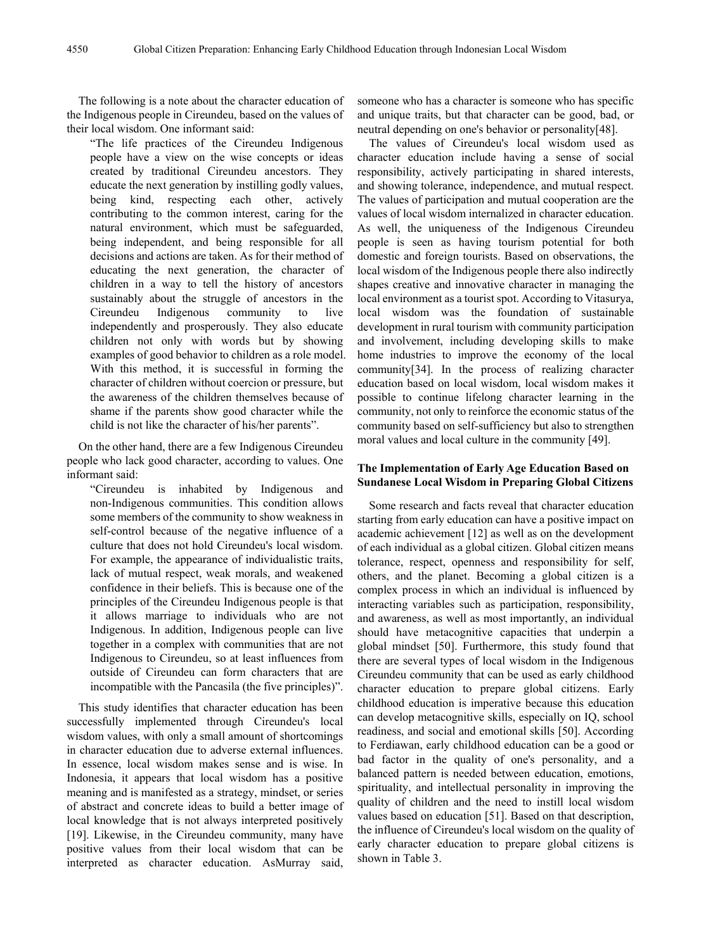The following is a note about the character education of the Indigenous people in Cireundeu, based on the values of their local wisdom. One informant said:

"The life practices of the Cireundeu Indigenous people have a view on the wise concepts or ideas created by traditional Cireundeu ancestors. They educate the next generation by instilling godly values, being kind, respecting each other, actively contributing to the common interest, caring for the natural environment, which must be safeguarded, being independent, and being responsible for all decisions and actions are taken. As for their method of educating the next generation, the character of children in a way to tell the history of ancestors sustainably about the struggle of ancestors in the Cireundeu Indigenous community to live independently and prosperously. They also educate children not only with words but by showing examples of good behavior to children as a role model. With this method, it is successful in forming the character of children without coercion or pressure, but the awareness of the children themselves because of shame if the parents show good character while the child is not like the character of his/her parents".

On the other hand, there are a few Indigenous Cireundeu people who lack good character, according to values. One informant said:

"Cireundeu is inhabited by Indigenous and non-Indigenous communities. This condition allows some members of the community to show weakness in self-control because of the negative influence of a culture that does not hold Cireundeu's local wisdom. For example, the appearance of individualistic traits, lack of mutual respect, weak morals, and weakened confidence in their beliefs. This is because one of the principles of the Cireundeu Indigenous people is that it allows marriage to individuals who are not Indigenous. In addition, Indigenous people can live together in a complex with communities that are not Indigenous to Cireundeu, so at least influences from outside of Cireundeu can form characters that are incompatible with the Pancasila (the five principles)".

This study identifies that character education has been successfully implemented through Cireundeu's local wisdom values, with only a small amount of shortcomings in character education due to adverse external influences. In essence, local wisdom makes sense and is wise. In Indonesia, it appears that local wisdom has a positive meaning and is manifested as a strategy, mindset, or series of abstract and concrete ideas to build a better image of local knowledge that is not always interpreted positively [19]. Likewise, in the Cireundeu community, many have positive values from their local wisdom that can be interpreted as character education. AsMurray said,

someone who has a character is someone who has specific and unique traits, but that character can be good, bad, or neutral depending on one's behavior or personality[48].

The values of Cireundeu's local wisdom used as character education include having a sense of social responsibility, actively participating in shared interests, and showing tolerance, independence, and mutual respect. The values of participation and mutual cooperation are the values of local wisdom internalized in character education. As well, the uniqueness of the Indigenous Cireundeu people is seen as having tourism potential for both domestic and foreign tourists. Based on observations, the local wisdom of the Indigenous people there also indirectly shapes creative and innovative character in managing the local environment as a tourist spot. According to Vitasurya, local wisdom was the foundation of sustainable development in rural tourism with community participation and involvement, including developing skills to make home industries to improve the economy of the local community[34]. In the process of realizing character education based on local wisdom, local wisdom makes it possible to continue lifelong character learning in the community, not only to reinforce the economic status of the community based on self-sufficiency but also to strengthen moral values and local culture in the community [49].

#### **The Implementation of Early Age Education Based on Sundanese Local Wisdom in Preparing Global Citizens**

Some research and facts reveal that character education starting from early education can have a positive impact on academic achievement [12] as well as on the development of each individual as a global citizen. Global citizen means tolerance, respect, openness and responsibility for self, others, and the planet. Becoming a global citizen is a complex process in which an individual is influenced by interacting variables such as participation, responsibility, and awareness, as well as most importantly, an individual should have metacognitive capacities that underpin a global mindset [50]. Furthermore, this study found that there are several types of local wisdom in the Indigenous Cireundeu community that can be used as early childhood character education to prepare global citizens. Early childhood education is imperative because this education can develop metacognitive skills, especially on IQ, school readiness, and social and emotional skills [50]. According to Ferdiawan, early childhood education can be a good or bad factor in the quality of one's personality, and a balanced pattern is needed between education, emotions, spirituality, and intellectual personality in improving the quality of children and the need to instill local wisdom values based on education [51]. Based on that description, the influence of Cireundeu's local wisdom on the quality of early character education to prepare global citizens is shown in Table 3.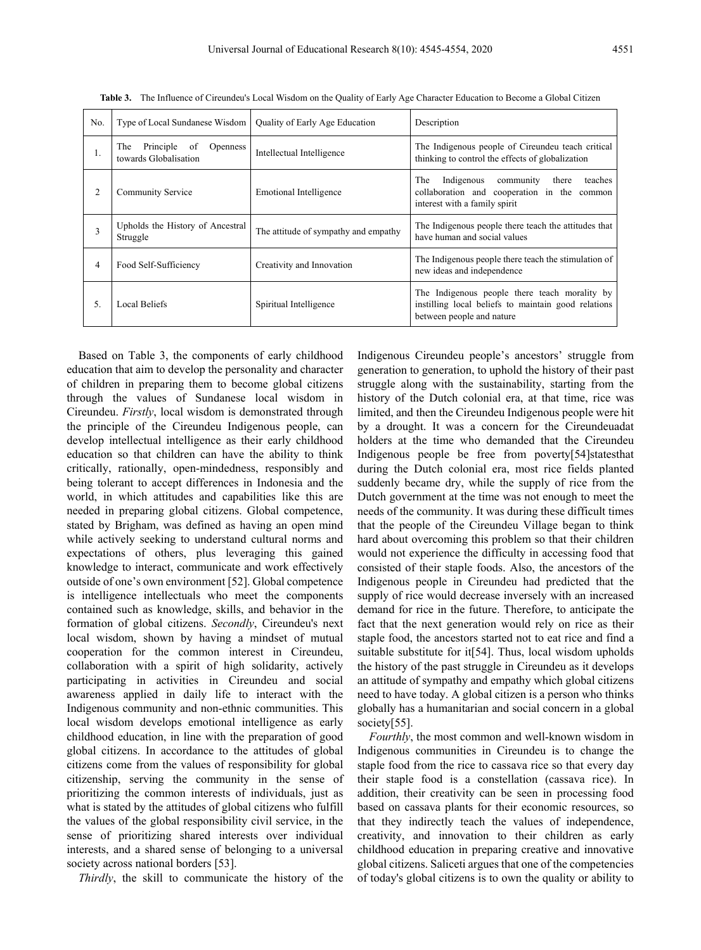| No. | Type of Local Sundanese Wisdom                                  | Quality of Early Age Education       | Description                                                                                                                       |
|-----|-----------------------------------------------------------------|--------------------------------------|-----------------------------------------------------------------------------------------------------------------------------------|
| 1.  | Principle of<br>The<br><b>Openness</b><br>towards Globalisation | Intellectual Intelligence            | The Indigenous people of Cireundeu teach critical<br>thinking to control the effects of globalization                             |
| 2   | <b>Community Service</b>                                        | Emotional Intelligence               | Indigenous community<br>The<br>teaches<br>there<br>collaboration and cooperation in the common<br>interest with a family spirit   |
| 3   | Upholds the History of Ancestral<br>Struggle                    | The attitude of sympathy and empathy | The Indigenous people there teach the attitudes that<br>have human and social values                                              |
| 4   | Food Self-Sufficiency                                           | Creativity and Innovation            | The Indigenous people there teach the stimulation of<br>new ideas and independence                                                |
| 5.  | Local Beliefs                                                   | Spiritual Intelligence               | The Indigenous people there teach morality by<br>instilling local beliefs to maintain good relations<br>between people and nature |

**Table 3.** The Influence of Cireundeu's Local Wisdom on the Quality of Early Age Character Education to Become a Global Citizen

Based on Table 3, the components of early childhood education that aim to develop the personality and character of children in preparing them to become global citizens through the values of Sundanese local wisdom in Cireundeu. *Firstly*, local wisdom is demonstrated through the principle of the Cireundeu Indigenous people, can develop intellectual intelligence as their early childhood education so that children can have the ability to think critically, rationally, open-mindedness, responsibly and being tolerant to accept differences in Indonesia and the world, in which attitudes and capabilities like this are needed in preparing global citizens. Global competence, stated by Brigham, was defined as having an open mind while actively seeking to understand cultural norms and expectations of others, plus leveraging this gained knowledge to interact, communicate and work effectively outside of one's own environment [52]. Global competence is intelligence intellectuals who meet the components contained such as knowledge, skills, and behavior in the formation of global citizens. *Secondly*, Cireundeu's next local wisdom, shown by having a mindset of mutual cooperation for the common interest in Cireundeu, collaboration with a spirit of high solidarity, actively participating in activities in Cireundeu and social awareness applied in daily life to interact with the Indigenous community and non-ethnic communities. This local wisdom develops emotional intelligence as early childhood education, in line with the preparation of good global citizens. In accordance to the attitudes of global citizens come from the values of responsibility for global citizenship, serving the community in the sense of prioritizing the common interests of individuals, just as what is stated by the attitudes of global citizens who fulfill the values of the global responsibility civil service, in the sense of prioritizing shared interests over individual interests, and a shared sense of belonging to a universal society across national borders [53].

*Thirdly*, the skill to communicate the history of the

Indigenous Cireundeu people's ancestors' struggle from generation to generation, to uphold the history of their past struggle along with the sustainability, starting from the history of the Dutch colonial era, at that time, rice was limited, and then the Cireundeu Indigenous people were hit by a drought. It was a concern for the Cireundeuadat holders at the time who demanded that the Cireundeu Indigenous people be free from poverty[54]statesthat during the Dutch colonial era, most rice fields planted suddenly became dry, while the supply of rice from the Dutch government at the time was not enough to meet the needs of the community. It was during these difficult times that the people of the Cireundeu Village began to think hard about overcoming this problem so that their children would not experience the difficulty in accessing food that consisted of their staple foods. Also, the ancestors of the Indigenous people in Cireundeu had predicted that the supply of rice would decrease inversely with an increased demand for rice in the future. Therefore, to anticipate the fact that the next generation would rely on rice as their staple food, the ancestors started not to eat rice and find a suitable substitute for it[54]. Thus, local wisdom upholds the history of the past struggle in Cireundeu as it develops an attitude of sympathy and empathy which global citizens need to have today. A global citizen is a person who thinks globally has a humanitarian and social concern in a global society[55].

*Fourthly*, the most common and well-known wisdom in Indigenous communities in Cireundeu is to change the staple food from the rice to cassava rice so that every day their staple food is a constellation (cassava rice). In addition, their creativity can be seen in processing food based on cassava plants for their economic resources, so that they indirectly teach the values of independence, creativity, and innovation to their children as early childhood education in preparing creative and innovative global citizens. Saliceti argues that one of the competencies of today's global citizens is to own the quality or ability to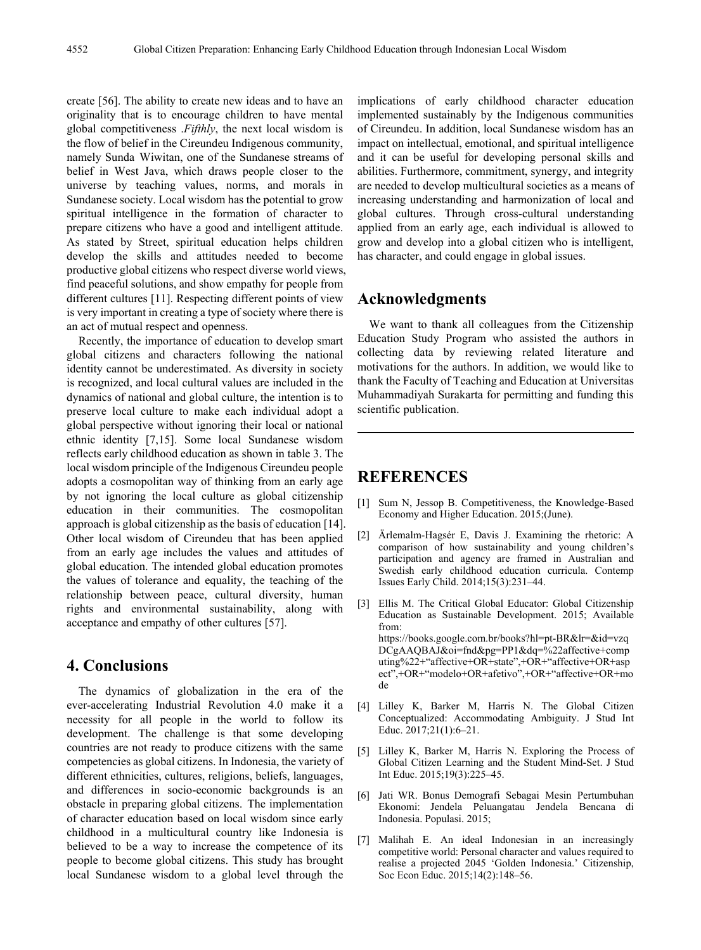create [56]. The ability to create new ideas and to have an originality that is to encourage children to have mental global competitiveness .*Fifthly*, the next local wisdom is the flow of belief in the Cireundeu Indigenous community, namely Sunda Wiwitan, one of the Sundanese streams of belief in West Java, which draws people closer to the universe by teaching values, norms, and morals in Sundanese society. Local wisdom has the potential to grow spiritual intelligence in the formation of character to prepare citizens who have a good and intelligent attitude. As stated by Street, spiritual education helps children develop the skills and attitudes needed to become productive global citizens who respect diverse world views, find peaceful solutions, and show empathy for people from different cultures [11]. Respecting different points of view is very important in creating a type of society where there is an act of mutual respect and openness.

Recently, the importance of education to develop smart global citizens and characters following the national identity cannot be underestimated. As diversity in society is recognized, and local cultural values are included in the dynamics of national and global culture, the intention is to preserve local culture to make each individual adopt a global perspective without ignoring their local or national ethnic identity [7,15]. Some local Sundanese wisdom reflects early childhood education as shown in table 3. The local wisdom principle of the Indigenous Cireundeu people adopts a cosmopolitan way of thinking from an early age by not ignoring the local culture as global citizenship education in their communities. The cosmopolitan approach is global citizenship as the basis of education [14]. Other local wisdom of Cireundeu that has been applied from an early age includes the values and attitudes of global education. The intended global education promotes the values of tolerance and equality, the teaching of the relationship between peace, cultural diversity, human rights and environmental sustainability, along with acceptance and empathy of other cultures [57].

#### **4. Conclusions**

The dynamics of globalization in the era of the ever-accelerating Industrial Revolution 4.0 make it a necessity for all people in the world to follow its development. The challenge is that some developing countries are not ready to produce citizens with the same competencies as global citizens. In Indonesia, the variety of different ethnicities, cultures, religions, beliefs, languages, and differences in socio-economic backgrounds is an obstacle in preparing global citizens. The implementation of character education based on local wisdom since early childhood in a multicultural country like Indonesia is believed to be a way to increase the competence of its people to become global citizens. This study has brought local Sundanese wisdom to a global level through the

implications of early childhood character education implemented sustainably by the Indigenous communities of Cireundeu. In addition, local Sundanese wisdom has an impact on intellectual, emotional, and spiritual intelligence and it can be useful for developing personal skills and abilities. Furthermore, commitment, synergy, and integrity are needed to develop multicultural societies as a means of increasing understanding and harmonization of local and global cultures. Through cross-cultural understanding applied from an early age, each individual is allowed to grow and develop into a global citizen who is intelligent, has character, and could engage in global issues.

## **Acknowledgments**

We want to thank all colleagues from the Citizenship Education Study Program who assisted the authors in collecting data by reviewing related literature and motivations for the authors. In addition, we would like to thank the Faculty of Teaching and Education at Universitas Muhammadiyah Surakarta for permitting and funding this scientific publication.

### **REFERENCES**

- [1] Sum N, Jessop B. Competitiveness, the Knowledge-Based Economy and Higher Education. 2015;(June).
- [2] Ärlemalm-Hagsér E, Davis J. Examining the rhetoric: A comparison of how sustainability and young children's participation and agency are framed in Australian and Swedish early childhood education curricula. Contemp Issues Early Child. 2014;15(3):231–44.
- [3] Ellis M. The Critical Global Educator: Global Citizenship Education as Sustainable Development. 2015; Available from: https://books.google.com.br/books?hl=pt-BR&lr=&id=vzq DCgAAQBAJ&oi=fnd&pg=PP1&dq=%22affective+comp uting%22+"affective+OR+state",+OR+"affective+OR+asp ect",+OR+"modelo+OR+afetivo",+OR+"affective+OR+mo de
- [4] Lilley K, Barker M, Harris N. The Global Citizen Conceptualized: Accommodating Ambiguity. J Stud Int Educ. 2017;21(1):6–21.
- [5] Lilley K, Barker M, Harris N. Exploring the Process of Global Citizen Learning and the Student Mind-Set. J Stud Int Educ. 2015;19(3):225–45.
- [6] Jati WR. Bonus Demografi Sebagai Mesin Pertumbuhan Ekonomi: Jendela Peluangatau Jendela Bencana di Indonesia. Populasi. 2015;
- [7] Malihah E. An ideal Indonesian in an increasingly competitive world: Personal character and values required to realise a projected 2045 'Golden Indonesia.' Citizenship, Soc Econ Educ. 2015;14(2):148–56.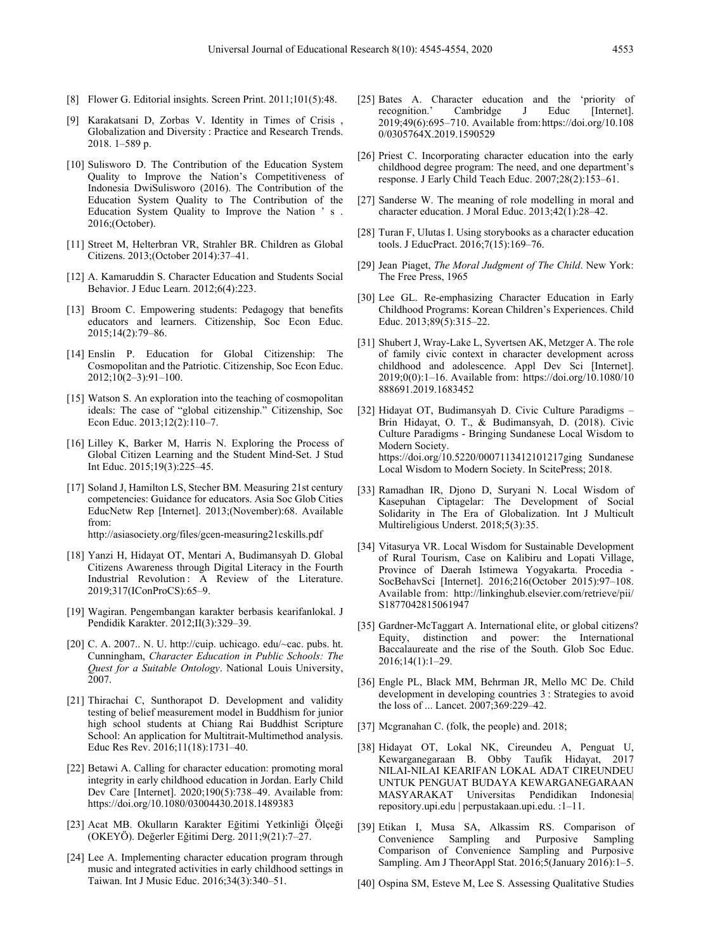- [8] Flower G. Editorial insights. Screen Print. 2011;101(5):48.
- [9] Karakatsani D, Zorbas V. Identity in Times of Crisis , Globalization and Diversity : Practice and Research Trends. 2018. 1–589 p.
- [10] Sulisworo D. The Contribution of the Education System Quality to Improve the Nation's Competitiveness of Indonesia DwiSulisworo (2016). The Contribution of the Education System Quality to The Contribution of the Education System Quality to Improve the Nation ' s . 2016;(October).
- [11] Street M, Helterbran VR, Strahler BR. Children as Global Citizens. 2013;(October 2014):37–41.
- [12] A. Kamaruddin S. Character Education and Students Social Behavior. J Educ Learn. 2012;6(4):223.
- [13] Broom C. Empowering students: Pedagogy that benefits educators and learners. Citizenship, Soc Econ Educ. 2015;14(2):79–86.
- [14] Enslin P. Education for Global Citizenship: The Cosmopolitan and the Patriotic. Citizenship, Soc Econ Educ. 2012;10(2–3):91–100.
- [15] Watson S. An exploration into the teaching of cosmopolitan ideals: The case of "global citizenship." Citizenship, Soc Econ Educ. 2013;12(2):110–7.
- [16] Lilley K, Barker M, Harris N. Exploring the Process of Global Citizen Learning and the Student Mind-Set. J Stud Int Educ. 2015;19(3):225–45.
- [17] Soland J, Hamilton LS, Stecher BM. Measuring 21st century competencies: Guidance for educators. Asia Soc Glob Cities EducNetw Rep [Internet]. 2013;(November):68. Available from: http://asiasociety.org/files/gcen-measuring21cskills.pdf
- [18] Yanzi H, Hidayat OT, Mentari A, Budimansyah D. Global Citizens Awareness through Digital Literacy in the Fourth Industrial Revolution : A Review of the Literature. 2019;317(IConProCS):65–9.
- [19] Wagiran. Pengembangan karakter berbasis kearifanlokal. J Pendidik Karakter. 2012;II(3):329–39.
- [20] C. A. 2007.. N. U. http://cuip. uchicago. edu/~cac. pubs. ht. Cunningham, *Character Education in Public Schools: The Quest for a Suitable Ontology*. National Louis University, 2007.
- [21] Thirachai C, Sunthorapot D. Development and validity testing of belief measurement model in Buddhism for junior high school students at Chiang Rai Buddhist Scripture School: An application for Multitrait-Multimethod analysis. Educ Res Rev. 2016;11(18):1731–40.
- [22] Betawi A. Calling for character education: promoting moral integrity in early childhood education in Jordan. Early Child Dev Care [Internet]. 2020;190(5):738–49. Available from: https://doi.org/10.1080/03004430.2018.1489383
- [23] Acat MB. Okulların Karakter Eğitimi Yetkinliği Ölçeği (OKEYÖ). Değerler Eğitimi Derg. 2011;9(21):7–27.
- [24] Lee A. Implementing character education program through music and integrated activities in early childhood settings in Taiwan. Int J Music Educ. 2016;34(3):340–51.
- [25] Bates A. Character education and the 'priority of recognition.' Cambridge J Educ [Internet]. 2019;49(6):695–710. Available from:https://doi.org/10.108 0/0305764X.2019.1590529
- [26] Priest C. Incorporating character education into the early childhood degree program: The need, and one department's response. J Early Child Teach Educ. 2007;28(2):153–61.
- [27] Sanderse W. The meaning of role modelling in moral and character education. J Moral Educ. 2013;42(1):28–42.
- [28] Turan F, Ulutas I. Using storybooks as a character education tools. J EducPract. 2016;7(15):169–76.
- [29] Jean Piaget, *The Moral Judgment of The Child*. New York: The Free Press, 1965
- [30] Lee GL. Re-emphasizing Character Education in Early Childhood Programs: Korean Children's Experiences. Child Educ. 2013;89(5):315–22.
- [31] Shubert J, Wray-Lake L, Syvertsen AK, Metzger A. The role of family civic context in character development across childhood and adolescence. Appl Dev Sci [Internet]. 2019;0(0):1–16. Available from: https://doi.org/10.1080/10 888691.2019.1683452
- [32] Hidayat OT, Budimansyah D. Civic Culture Paradigms Brin Hidayat, O. T., & Budimansyah, D. (2018). Civic Culture Paradigms - Bringing Sundanese Local Wisdom to Modern Society. https://doi.org/10.5220/0007113412101217ging Sundanese Local Wisdom to Modern Society. In ScitePress; 2018.
- [33] Ramadhan IR, Djono D, Suryani N. Local Wisdom of Kasepuhan Ciptagelar: The Development of Social Solidarity in The Era of Globalization. Int J Multicult Multireligious Underst. 2018;5(3):35.
- [34] Vitasurya VR. Local Wisdom for Sustainable Development of Rural Tourism, Case on Kalibiru and Lopati Village, Province of Daerah Istimewa Yogyakarta. Procedia - SocBehavSci [Internet]. 2016;216(October 2015):97–108. Available from: http://linkinghub.elsevier.com/retrieve/pii/ S1877042815061947
- [35] Gardner-McTaggart A. International elite, or global citizens? Equity, distinction and power: the International Baccalaureate and the rise of the South. Glob Soc Educ. 2016;14(1):1–29.
- [36] Engle PL, Black MM, Behrman JR, Mello MC De. Child development in developing countries 3 : Strategies to avoid the loss of ... Lancet. 2007;369:229–42.
- [37] Mcgranahan C. (folk, the people) and. 2018;
- [38] Hidayat OT, Lokal NK, Cireundeu A, Penguat U, Kewarganegaraan B. Obby Taufik Hidayat, 2017 NILAI-NILAI KEARIFAN LOKAL ADAT CIREUNDEU UNTUK PENGUAT BUDAYA KEWARGANEGARAAN MASYARAKAT Universitas Pendidikan Indonesia| repository.upi.edu | perpustakaan.upi.edu. :1–11.
- [39] Etikan I, Musa SA, Alkassim RS. Comparison of Convenience Sampling and Purposive Sampling Comparison of Convenience Sampling and Purposive Sampling. Am J TheorAppl Stat. 2016;5(January 2016):1–5.
- [40] Ospina SM, Esteve M, Lee S. Assessing Qualitative Studies